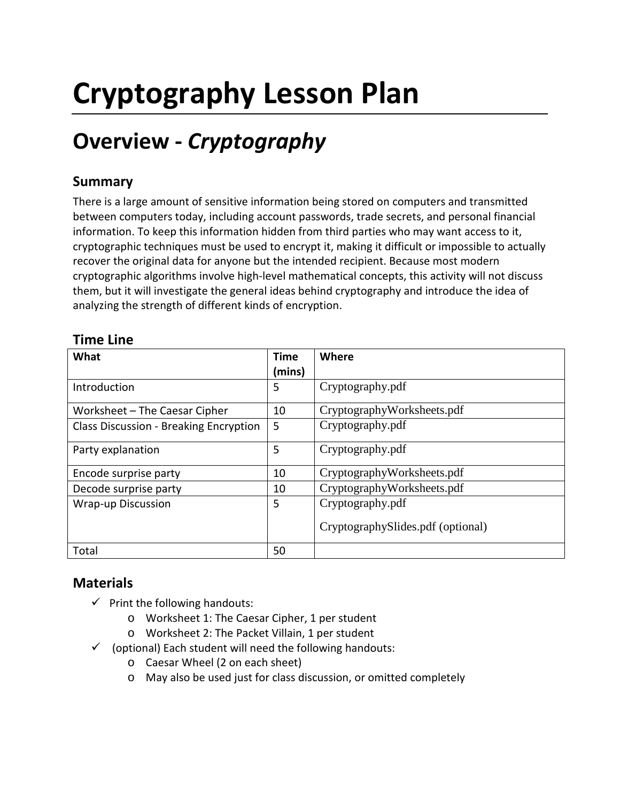# **Cryptography Lesson Plan**

## **Overview -** *Cryptography*

### **Summary**

There is a large amount of sensitive information being stored on computers and transmitted between computers today, including account passwords, trade secrets, and personal financial information. To keep this information hidden from third parties who may want access to it, cryptographic techniques must be used to encrypt it, making it difficult or impossible to actually recover the original data for anyone but the intended recipient. Because most modern cryptographic algorithms involve high-level mathematical concepts, this activity will not discuss them, but it will investigate the general ideas behind cryptography and introduce the idea of analyzing the strength of different kinds of encryption.

| What                                          | <b>Time</b><br>(mins) | Where                                                 |
|-----------------------------------------------|-----------------------|-------------------------------------------------------|
| Introduction                                  | 5                     | Cryptography.pdf                                      |
| Worksheet - The Caesar Cipher                 | 10                    | CryptographyWorksheets.pdf                            |
| <b>Class Discussion - Breaking Encryption</b> | 5                     | Cryptography.pdf                                      |
| Party explanation                             | 5                     | Cryptography.pdf                                      |
| Encode surprise party                         | 10                    | CryptographyWorksheets.pdf                            |
| Decode surprise party                         | 10                    | CryptographyWorksheets.pdf                            |
| <b>Wrap-up Discussion</b>                     | 5                     | Cryptography.pdf<br>CryptographySlides.pdf (optional) |
| Total                                         | 50                    |                                                       |

#### **Time Line**

### **Materials**

- $\checkmark$  Print the following handouts:
	- o Worksheet 1: The Caesar Cipher, 1 per student
	- o Worksheet 2: The Packet Villain, 1 per student
- $\checkmark$  (optional) Each student will need the following handouts:
	- o Caesar Wheel (2 on each sheet)
	- o May also be used just for class discussion, or omitted completely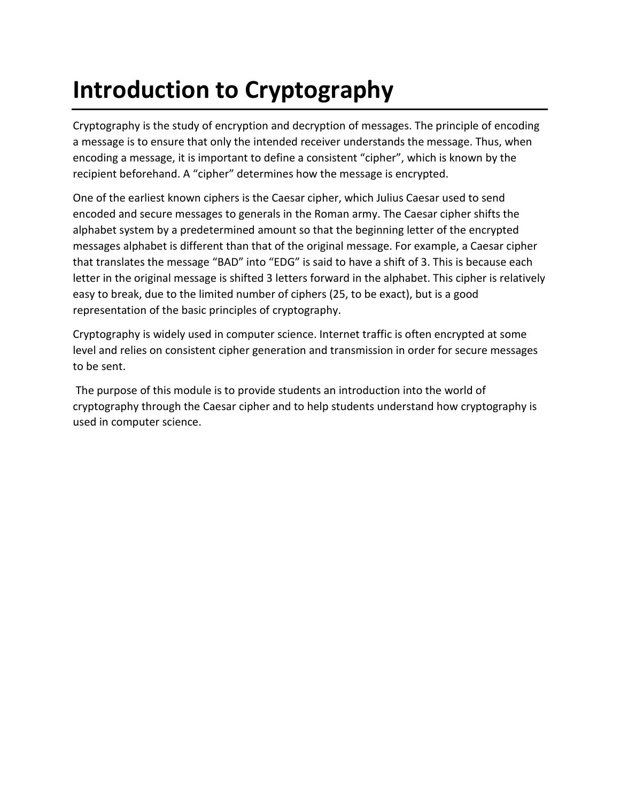## **Introduction to Cryptography**

Cryptography is the study of encryption and decryption of messages. The principle of encoding a message is to ensure that only the intended receiver understands the message. Thus, when encoding a message, it is important to define a consistent "cipher", which is known by the recipient beforehand. A "cipher" determines how the message is encrypted.

One of the earliest known ciphers is the Caesar cipher, which Julius Caesar used to send encoded and secure messages to generals in the Roman army. The Caesar cipher shifts the alphabet system by a predetermined amount so that the beginning letter of the encrypted messages alphabet is different than that of the original message. For example, a Caesar cipher that translates the message "BAD" into "EDG" is said to have a shift of 3. This is because each letter in the original message is shifted 3 letters forward in the alphabet. This cipher is relatively easy to break, due to the limited number of ciphers (25, to be exact), but is a good representation of the basic principles of cryptography.

Cryptography is widely used in computer science. Internet traffic is often encrypted at some level and relies on consistent cipher generation and transmission in order for secure messages to be sent.

The purpose of this module is to provide students an introduction into the world of cryptography through the Caesar cipher and to help students understand how cryptography is used in computer science.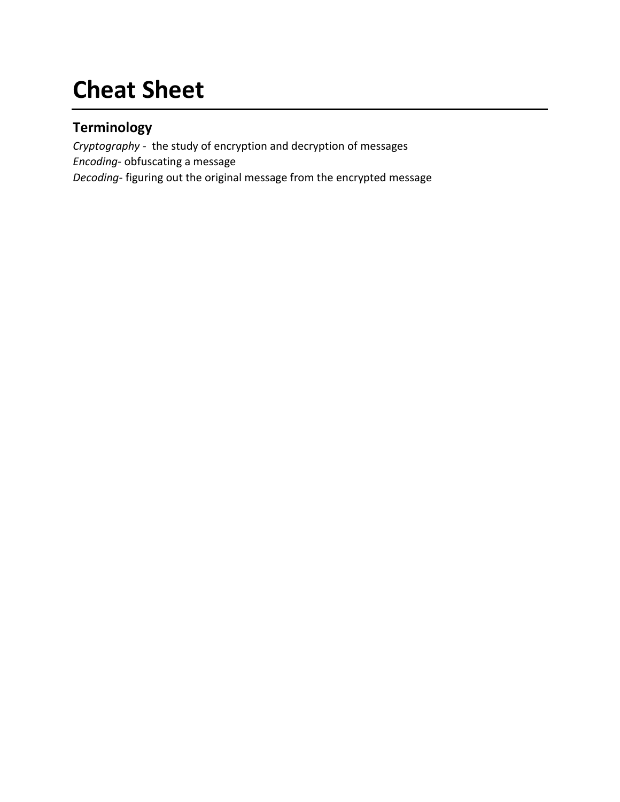## **Cheat Sheet**

### **Terminology**

*Cryptography -* the study of encryption and decryption of messages *Encoding-* obfuscating a message *Decoding-* figuring out the original message from the encrypted message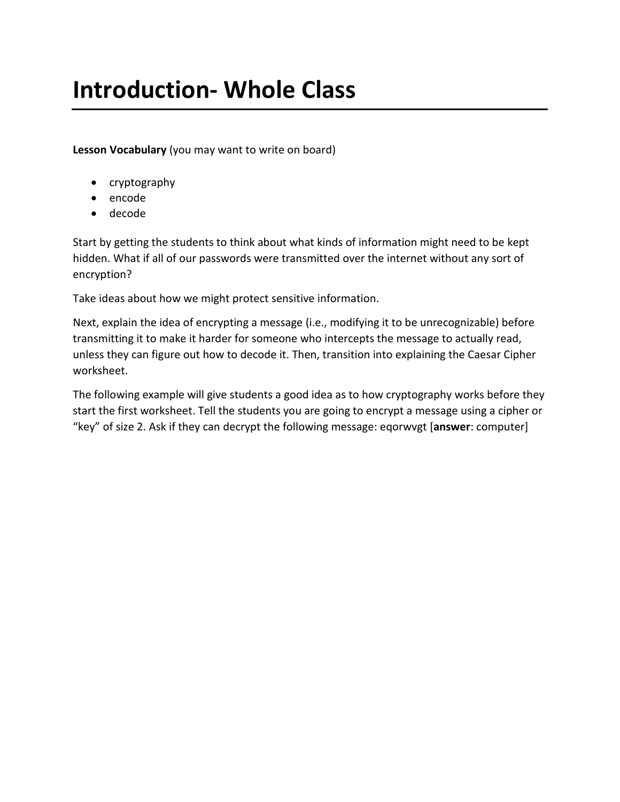## **Introduction- Whole Class**

**Lesson Vocabulary** (you may want to write on board)

- cryptography
- encode
- decode

Start by getting the students to think about what kinds of information might need to be kept hidden. What if all of our passwords were transmitted over the internet without any sort of encryption?

Take ideas about how we might protect sensitive information.

Next, explain the idea of encrypting a message (i.e., modifying it to be unrecognizable) before transmitting it to make it harder for someone who intercepts the message to actually read, unless they can figure out how to decode it. Then, transition into explaining the Caesar Cipher worksheet.

The following example will give students a good idea as to how cryptography works before they start the first worksheet. Tell the students you are going to encrypt a message using a cipher or "key" of size 2. Ask if they can decrypt the following message: eqorwvgt [**answer**: computer]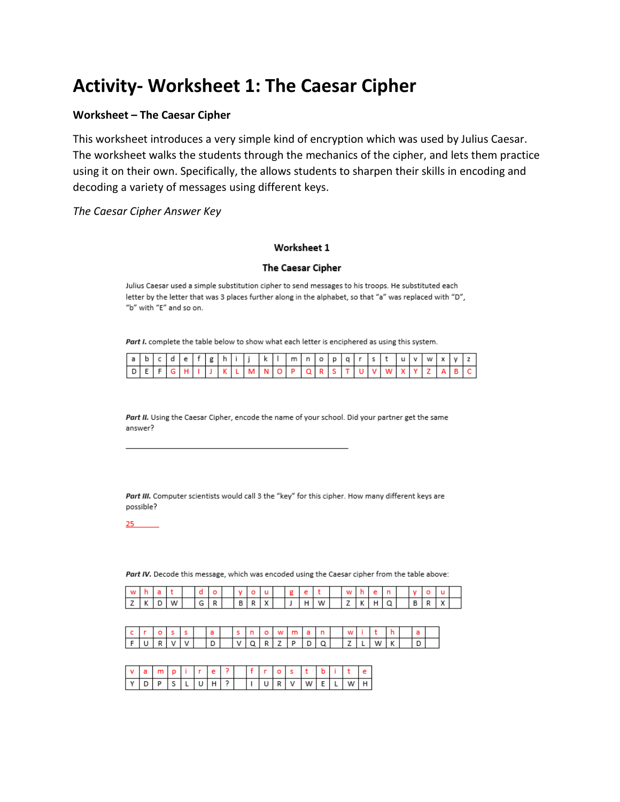### **Activity- Worksheet 1: The Caesar Cipher**

#### **Worksheet – The Caesar Cipher**

This worksheet introduces a very simple kind of encryption which was used by Julius Caesar. The worksheet walks the students through the mechanics of the cipher, and lets them practice using it on their own. Specifically, the allows students to sharpen their skills in encoding and decoding a variety of messages using different keys.

*The Caesar Cipher Answer Key*

#### Worksheet 1

#### The Caesar Cipher

Julius Caesar used a simple substitution cipher to send messages to his troops. He substituted each letter by the letter that was 3 places further along in the alphabet, so that "a" was replaced with "D", "b" with "E" and so on.

Part I. complete the table below to show what each letter is enciphered as using this system.

| la Iblcidie ' |              |  |  | . If I g I h I ' |  | . k ' |  |  |  |  | m   n   o   p   g   r   s   t   u   v   w   x   y |  |  |  |
|---------------|--------------|--|--|------------------|--|-------|--|--|--|--|---------------------------------------------------|--|--|--|
|               | I E I FIGIHI |  |  |                  |  |       |  |  |  |  | KLMNOPQRSTUVWX                                    |  |  |  |

Part II. Using the Caesar Cipher, encode the name of your school. Did your partner get the same answer?

Part III. Computer scientists would call 3 the "key" for this cipher. How many different keys are possible?

 $25 -$ 

Part IV. Decode this message, which was encoded using the Caesar cipher from the table above:

|  | W I | G | ותור | в |  |  | W I | <u>_</u> |  |  |  |  |
|--|-----|---|------|---|--|--|-----|----------|--|--|--|--|

|  |  |  |  |  |  |  |  |  | c r o s s   a   s n o w m a n   w i t h              |  |  |
|--|--|--|--|--|--|--|--|--|------------------------------------------------------|--|--|
|  |  |  |  |  |  |  |  |  | $F U R V V $ $D$ $ V Q R Z P D Q $ $ Z L W K $ $ D $ |  |  |

| Ιv |   |  |  |  |  |   |   |   |   |   |  |
|----|---|--|--|--|--|---|---|---|---|---|--|
| ΙV | D |  |  |  |  | к | v | W | - | W |  |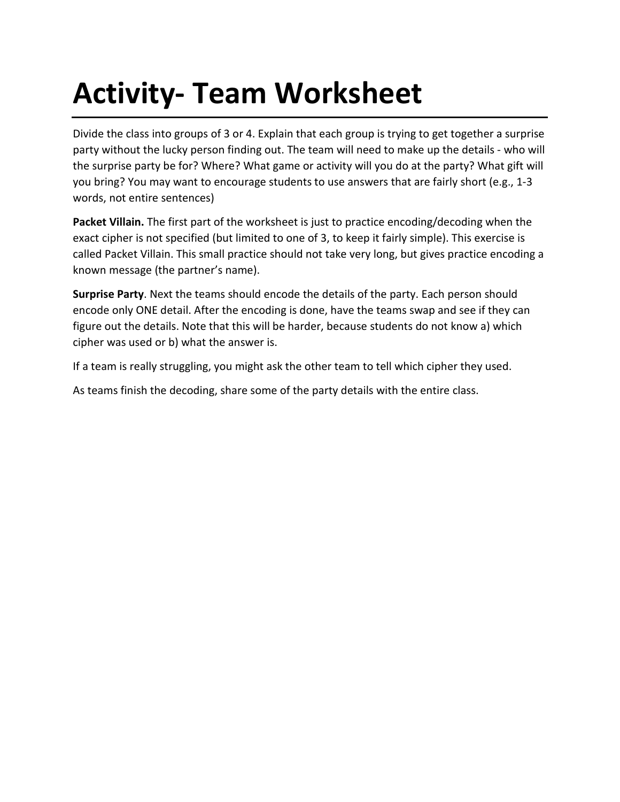# **Activity- Team Worksheet**

Divide the class into groups of 3 or 4. Explain that each group is trying to get together a surprise party without the lucky person finding out. The team will need to make up the details - who will the surprise party be for? Where? What game or activity will you do at the party? What gift will you bring? You may want to encourage students to use answers that are fairly short (e.g., 1-3 words, not entire sentences)

**Packet Villain.** The first part of the worksheet is just to practice encoding/decoding when the exact cipher is not specified (but limited to one of 3, to keep it fairly simple). This exercise is called Packet Villain. This small practice should not take very long, but gives practice encoding a known message (the partner's name).

**Surprise Party**. Next the teams should encode the details of the party. Each person should encode only ONE detail. After the encoding is done, have the teams swap and see if they can figure out the details. Note that this will be harder, because students do not know a) which cipher was used or b) what the answer is.

If a team is really struggling, you might ask the other team to tell which cipher they used.

As teams finish the decoding, share some of the party details with the entire class.